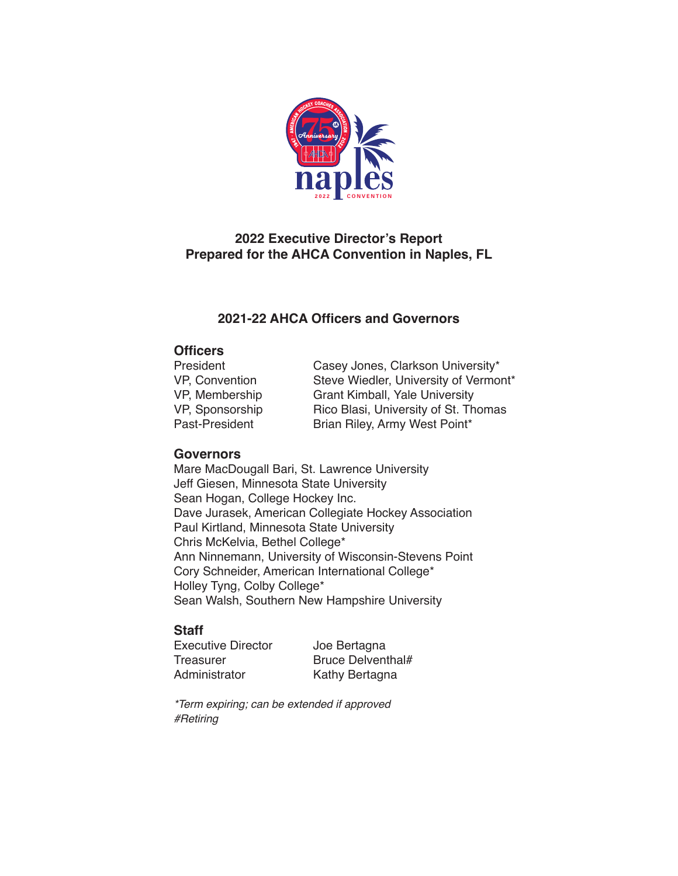

# **2022 Executive Director's Report Prepared for the AHCA Convention in Naples, FL**

# **2021-22 AHCA Officers and Governors**

### **Officers**

| President       | Casey Jones, Clarkson University*     |
|-----------------|---------------------------------------|
| VP, Convention  | Steve Wiedler, University of Vermont* |
| VP, Membership  | <b>Grant Kimball, Yale University</b> |
| VP, Sponsorship | Rico Blasi, University of St. Thomas  |
| Past-President  | Brian Riley, Army West Point*         |

### **Governors**

Mare MacDougall Bari, St. Lawrence University Jeff Giesen, Minnesota State University Sean Hogan, College Hockey Inc. Dave Jurasek, American Collegiate Hockey Association Paul Kirtland, Minnesota State University Chris McKelvia, Bethel College\* Ann Ninnemann, University of Wisconsin-Stevens Point Cory Schneider, American International College\* Holley Tyng, Colby College\* Sean Walsh, Southern New Hampshire University

### **Staff**

Executive Director <br>
Treasurer Meruce Delvent

Treasurer Bruce Delventhal#<br>Administrator Kathy Bertagna Kathy Bertagna

*\*Term expiring; can be extended if approved #Retiring*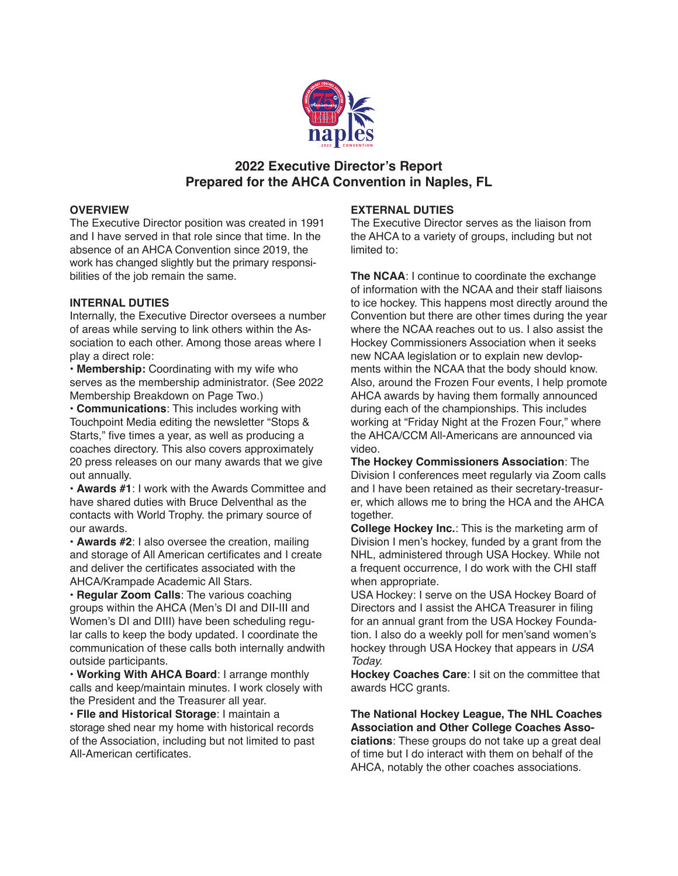

### **2022 Executive Director's Report Prepared for the AHCA Convention in Naples, FL**

#### **OVERVIEW**

The Executive Director position was created in 1991 and I have served in that role since that time. In the absence of an AHCA Convention since 2019, the work has changed slightly but the primary responsibilities of the job remain the same.

#### **INTERNAL DUTIES**

Internally, the Executive Director oversees a number of areas while serving to link others within the Association to each other. Among those areas where I play a direct role:

• **Membership:** Coordinating with my wife who serves as the membership administrator. (See 2022 Membership Breakdown on Page Two.)

• **Communications**: This includes working with Touchpoint Media editing the newsletter "Stops & Starts," five times a year, as well as producing a coaches directory. This also covers approximately 20 press releases on our many awards that we give out annually.

• **Awards #1**: I work with the Awards Committee and have shared duties with Bruce Delventhal as the contacts with World Trophy. the primary source of our awards.

• **Awards #2**: I also oversee the creation, mailing and storage of All American certificates and I create and deliver the certificates associated with the AHCA/Krampade Academic All Stars.

• **Regular Zoom Calls**: The various coaching groups within the AHCA (Men's DI and DII-III and Women's DI and DIII) have been scheduling regular calls to keep the body updated. I coordinate the communication of these calls both internally andwith outside participants.

• **Working With AHCA Board**: I arrange monthly calls and keep/maintain minutes. I work closely with the President and the Treasurer all year.

• **FIle and Historical Storage**: I maintain a storage shed near my home with historical records of the Association, including but not limited to past All-American certificates.

#### **EXTERNAL DUTIES**

The Executive Director serves as the liaison from the AHCA to a variety of groups, including but not limited to:

**The NCAA**: I continue to coordinate the exchange of information with the NCAA and their staff liaisons to ice hockey. This happens most directly around the Convention but there are other times during the year where the NCAA reaches out to us. I also assist the Hockey Commissioners Association when it seeks new NCAA legislation or to explain new devlopments within the NCAA that the body should know. Also, around the Frozen Four events, I help promote AHCA awards by having them formally announced during each of the championships. This includes working at "Friday Night at the Frozen Four," where the AHCA/CCM All-Americans are announced via video.

**The Hockey Commissioners Association**: The Division I conferences meet regularly via Zoom calls and I have been retained as their secretary-treasurer, which allows me to bring the HCA and the AHCA together.

**College Hockey Inc.**: This is the marketing arm of Division I men's hockey, funded by a grant from the NHL, administered through USA Hockey. While not a frequent occurrence, I do work with the CHI staff when appropriate.

USA Hockey: I serve on the USA Hockey Board of Directors and I assist the AHCA Treasurer in filing for an annual grant from the USA Hockey Foundation. I also do a weekly poll for men'sand women's hockey through USA Hockey that appears in *USA Today.*

**Hockey Coaches Care**: I sit on the committee that awards HCC grants.

**The National Hockey League, The NHL Coaches Association and Other College Coaches Associations**: These groups do not take up a great deal of time but I do interact with them on behalf of the AHCA, notably the other coaches associations.